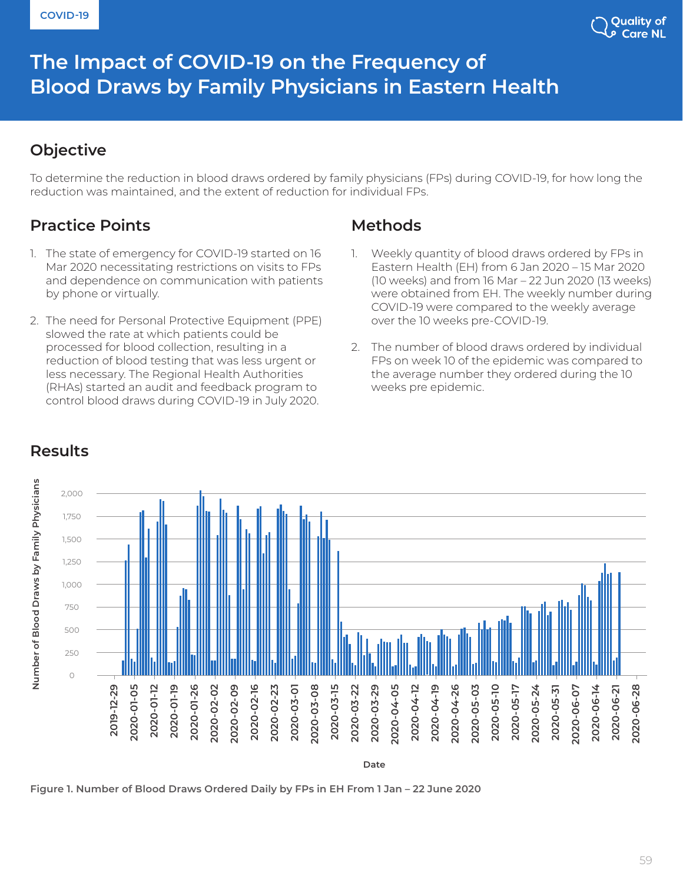

# The Impact of COVID-19 on the Frequency of **Blood Draws by Family Physicians in Eastern Health**

#### **Objective**

To determine the reduction in blood draws ordered by family physicians (FPs) during COVID-19, for how long the reduction was maintained, and the extent of reduction for individual FPs.

# **Practice Points**

- 1. The state of emergency for COVID-19 started on 16 Mar 2020 necessitating restrictions on visits to FPs and dependence on communication with patients by phone or virtually.
- 2. The need for Personal Protective Equipment (PPE) slowed the rate at which patients could be processed for blood collection, resulting in a reduction of blood testing that was less urgent or less necessary. The Regional Health Authorities (RHAs) started an audit and feedback program to control blood draws during COVID-19 in July 2020.

#### **Methods**

- 1. Weekly quantity of blood draws ordered by FPs in Eastern Health (EH) from 6 Jan 2020 – 15 Mar 2020 (10 weeks) and from 16 Mar – 22 Jun 2020 (13 weeks) were obtained from EH. The weekly number during COVID-19 were compared to the weekly average over the 10 weeks pre-COVID-19.
- 2. The number of blood draws ordered by individual FPs on week 10 of the epidemic was compared to the average number they ordered during the 10 weeks pre epidemic.



## **Results**

**Figure 1. Number of Blood Draws Ordered Daily by FPs in EH From 1 Jan – 22 June 2020**